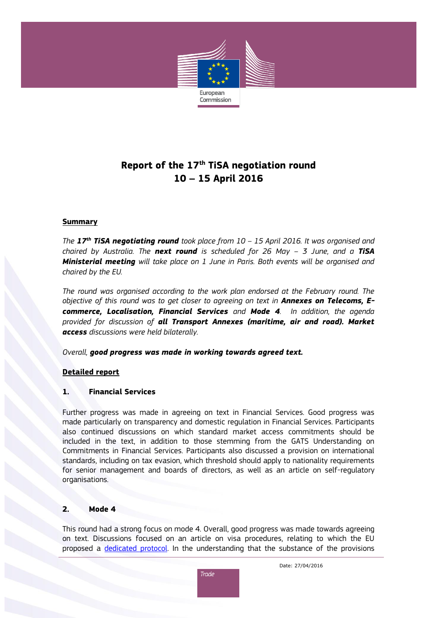

# **Report of the 17th TiSA negotiation round 10 – 15 April 2016**

#### **Summary**

*The 17th TiSA negotiating round took place from 10 – 15 April 2016. It was organised and chaired by Australia. The next round is scheduled for 26 May – 3 June, and a TiSA Ministerial meeting will take place on 1 June in Paris. Both events will be organised and chaired by the EU.* 

*The round was organised according to the work plan endorsed at the February round. The objective of this round was to get closer to agreeing on text in Annexes on Telecoms, Ecommerce, Localisation, Financial Services and Mode 4. In addition, the agenda provided for discussion of all Transport Annexes (maritime, air and road). Market access discussions were held bilaterally.*

*Overall, good progress was made in working towards agreed text.*

## **Detailed report**

## **1. Financial Services**

Further progress was made in agreeing on text in Financial Services. Good progress was made particularly on transparency and domestic regulation in Financial Services. Participants also continued discussions on which standard market access commitments should be included in the text, in addition to those stemming from the GATS Understanding on Commitments in Financial Services. Participants also discussed a provision on international standards, including on tax evasion, which threshold should apply to nationality requirements for senior management and boards of directors, as well as an article on self-regulatory organisations.

## **2. Mode 4**

This round had a strong focus on mode 4. Overall, good progress was made towards agreeing on text. Discussions focused on an article on visa procedures, relating to which the EU proposed a [dedicated protocol.](http://trade.ec.europa.eu/doclib/docs/2015/december/tradoc_154125.pdf) In the understanding that the substance of the provisions



Date: 27/04/2016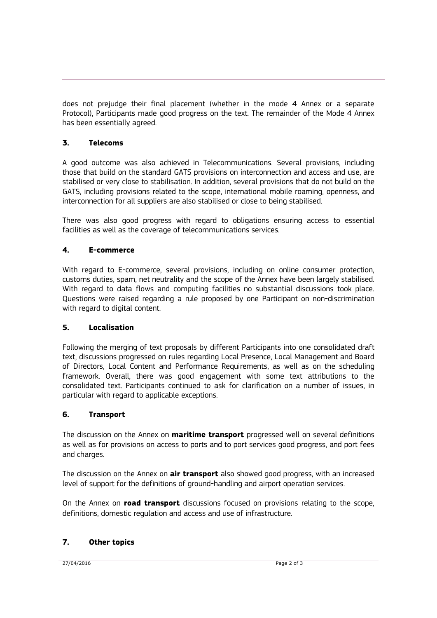does not prejudge their final placement (whether in the mode 4 Annex or a separate Protocol), Participants made good progress on the text. The remainder of the Mode 4 Annex has been essentially agreed.

# **3. Telecoms**

A good outcome was also achieved in Telecommunications. Several provisions, including those that build on the standard GATS provisions on interconnection and access and use, are stabilised or very close to stabilisation. In addition, several provisions that do not build on the GATS, including provisions related to the scope, international mobile roaming, openness, and interconnection for all suppliers are also stabilised or close to being stabilised.

There was also good progress with regard to obligations ensuring access to essential facilities as well as the coverage of telecommunications services.

# **4. E-commerce**

With regard to E-commerce, several provisions, including on online consumer protection, customs duties, spam, net neutrality and the scope of the Annex have been largely stabilised. With regard to data flows and computing facilities no substantial discussions took place. Questions were raised regarding a rule proposed by one Participant on non-discrimination with regard to digital content.

## **5. Localisation**

Following the merging of text proposals by different Participants into one consolidated draft text, discussions progressed on rules regarding Local Presence, Local Management and Board of Directors, Local Content and Performance Requirements, as well as on the scheduling framework. Overall, there was good engagement with some text attributions to the consolidated text. Participants continued to ask for clarification on a number of issues, in particular with regard to applicable exceptions.

## **6. Transport**

The discussion on the Annex on **maritime transport** progressed well on several definitions as well as for provisions on access to ports and to port services good progress, and port fees and charges.

The discussion on the Annex on **air transport** also showed good progress, with an increased level of support for the definitions of ground-handling and airport operation services.

On the Annex on **road transport** discussions focused on provisions relating to the scope, definitions, domestic regulation and access and use of infrastructure.

## **7. Other topics**